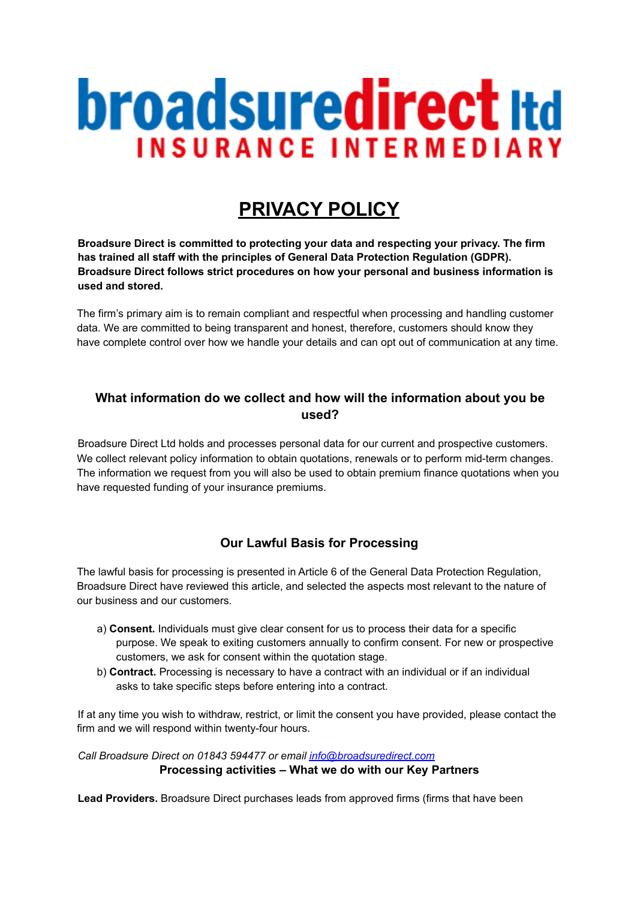# **broadsuredirect Itd INSURANCE INTERMEDIARY**

# **PRIVACY POLICY**

**Broadsure Direct is committed to protecting your data and respecting your privacy. The firm has trained all staff with the principles of General Data Protection Regulation (GDPR). Broadsure Direct follows strict procedures on how your personal and business information is used and stored.**

The firm's primary aim is to remain compliant and respectful when processing and handling customer data. We are committed to being transparent and honest, therefore, customers should know they have complete control over how we handle your details and can opt out of communication at any time.

## **What information do we collect and how will the information about you be used?**

Broadsure Direct Ltd holds and processes personal data for our current and prospective customers. We collect relevant policy information to obtain quotations, renewals or to perform mid-term changes. The information we request from you will also be used to obtain premium finance quotations when you have requested funding of your insurance premiums.

# **Our Lawful Basis for Processing**

The lawful basis for processing is presented in Article 6 of the General Data Protection Regulation, Broadsure Direct have reviewed this article, and selected the aspects most relevant to the nature of our business and our customers.

- a) **Consent.** Individuals must give clear consent for us to process their data for a specific purpose. We speak to exiting customers annually to confirm consent. For new or prospective customers, we ask for consent within the quotation stage.
- b) **Contract.** Processing is necessary to have a contract with an individual or if an individual asks to take specific steps before entering into a contract.

If at any time you wish to withdraw, restrict, or limit the consent you have provided, please contact the firm and we will respond within twenty-four hours.

#### *Call Broadsure Direct on 01843 594477 or email info@broadsuredirect.com* **Processing activities – What we do with our Key Partners**

**Lead Providers.** Broadsure Direct purchases leads from approved firms (firms that have been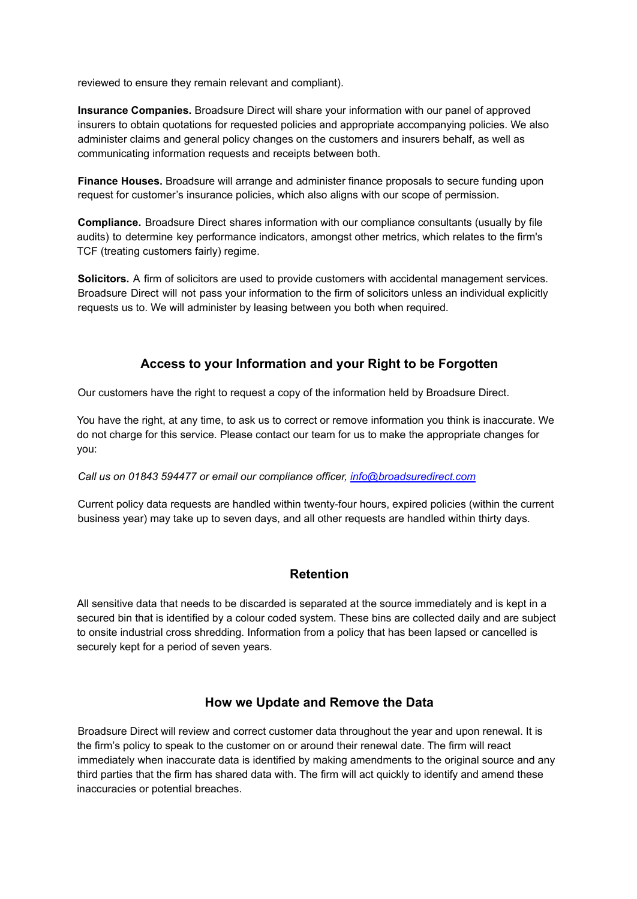reviewed to ensure they remain relevant and compliant).

**Insurance Companies.** Broadsure Direct will share your information with our panel of approved insurers to obtain quotations for requested policies and appropriate accompanying policies. We also administer claims and general policy changes on the customers and insurers behalf, as well as communicating information requests and receipts between both.

**Finance Houses.** Broadsure will arrange and administer finance proposals to secure funding upon request for customer's insurance policies, which also aligns with our scope of permission.

**Compliance.** Broadsure Direct shares information with our compliance consultants (usually by file audits) to determine key performance indicators, amongst other metrics, which relates to the firm's TCF (treating customers fairly) regime.

**Solicitors.** A firm of solicitors are used to provide customers with accidental management services. Broadsure Direct will not pass your information to the firm of solicitors unless an individual explicitly requests us to. We will administer by leasing between you both when required.

#### **Access to your Information and your Right to be Forgotten**

Our customers have the right to request a copy of the information held by Broadsure Direct.

You have the right, at any time, to ask us to correct or remove information you think is inaccurate. We do not charge for this service. Please contact our team for us to make the appropriate changes for you:

#### *Call us on 01843 594477 or email our compliance officer, info@broadsuredirect.com*

Current policy data requests are handled within twenty-four hours, expired policies (within the current business year) may take up to seven days, and all other requests are handled within thirty days.

#### **Retention**

All sensitive data that needs to be discarded is separated at the source immediately and is kept in a secured bin that is identified by a colour coded system. These bins are collected daily and are subject to onsite industrial cross shredding. Information from a policy that has been lapsed or cancelled is securely kept for a period of seven years.

#### **How we Update and Remove the Data**

Broadsure Direct will review and correct customer data throughout the year and upon renewal. It is the firm's policy to speak to the customer on or around their renewal date. The firm will react immediately when inaccurate data is identified by making amendments to the original source and any third parties that the firm has shared data with. The firm will act quickly to identify and amend these inaccuracies or potential breaches.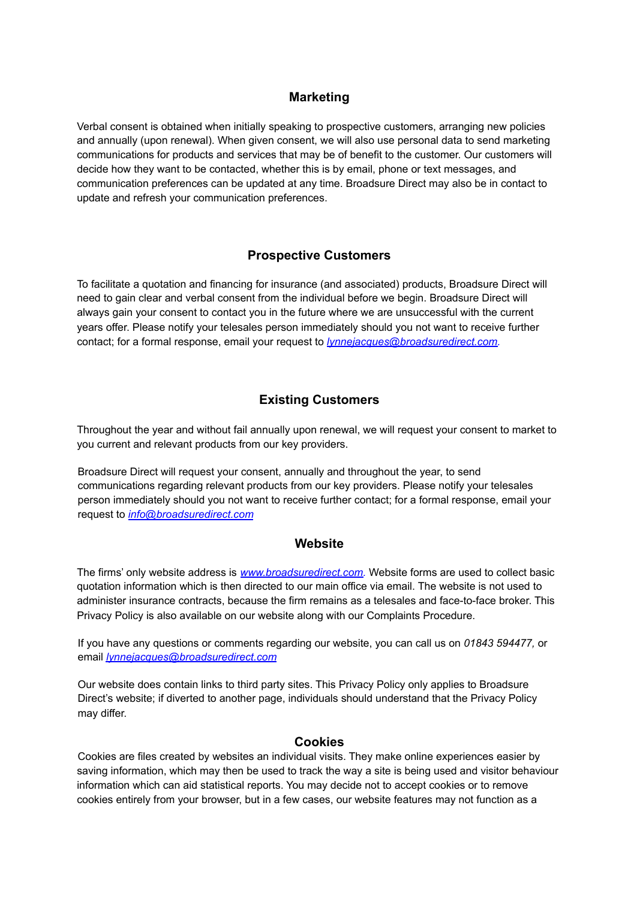### **Marketing**

Verbal consent is obtained when initially speaking to prospective customers, arranging new policies and annually (upon renewal). When given consent, we will also use personal data to send marketing communications for products and services that may be of benefit to the customer. Our customers will decide how they want to be contacted, whether this is by email, phone or text messages, and communication preferences can be updated at any time. Broadsure Direct may also be in contact to update and refresh your communication preferences.

#### **Prospective Customers**

To facilitate a quotation and financing for insurance (and associated) products, Broadsure Direct will need to gain clear and verbal consent from the individual before we begin. Broadsure Direct will always gain your consent to contact you in the future where we are unsuccessful with the current years offer. Please notify your telesales person immediately should you not want to receive further contact; for a formal response, email your request to *lynnejacques@broadsuredirect.com.*

# **Existing Customers**

Throughout the year and without fail annually upon renewal, we will request your consent to market to you current and relevant products from our key providers.

Broadsure Direct will request your consent, annually and throughout the year, to send communications regarding relevant products from our key providers. Please notify your telesales person immediately should you not want to receive further contact; for a formal response, email your request to *info@broadsuredirect.com*

#### **Website**

The firms' only website address is *www.broadsuredirect.com.* Website forms are used to collect basic quotation information which is then directed to our main office via email. The website is not used to administer insurance contracts, because the firm remains as a telesales and face-to-face broker. This Privacy Policy is also available on our website along with our Complaints Procedure.

If you have any questions or comments regarding our website, you can call us on *01843 594477,* or email *lynnejacques@broadsuredirect.com*

Our website does contain links to third party sites. This Privacy Policy only applies to Broadsure Direct's website; if diverted to another page, individuals should understand that the Privacy Policy may differ.

#### **Cookies**

Cookies are files created by websites an individual visits. They make online experiences easier by saving information, which may then be used to track the way a site is being used and visitor behaviour information which can aid statistical reports. You may decide not to accept cookies or to remove cookies entirely from your browser, but in a few cases, our website features may not function as a